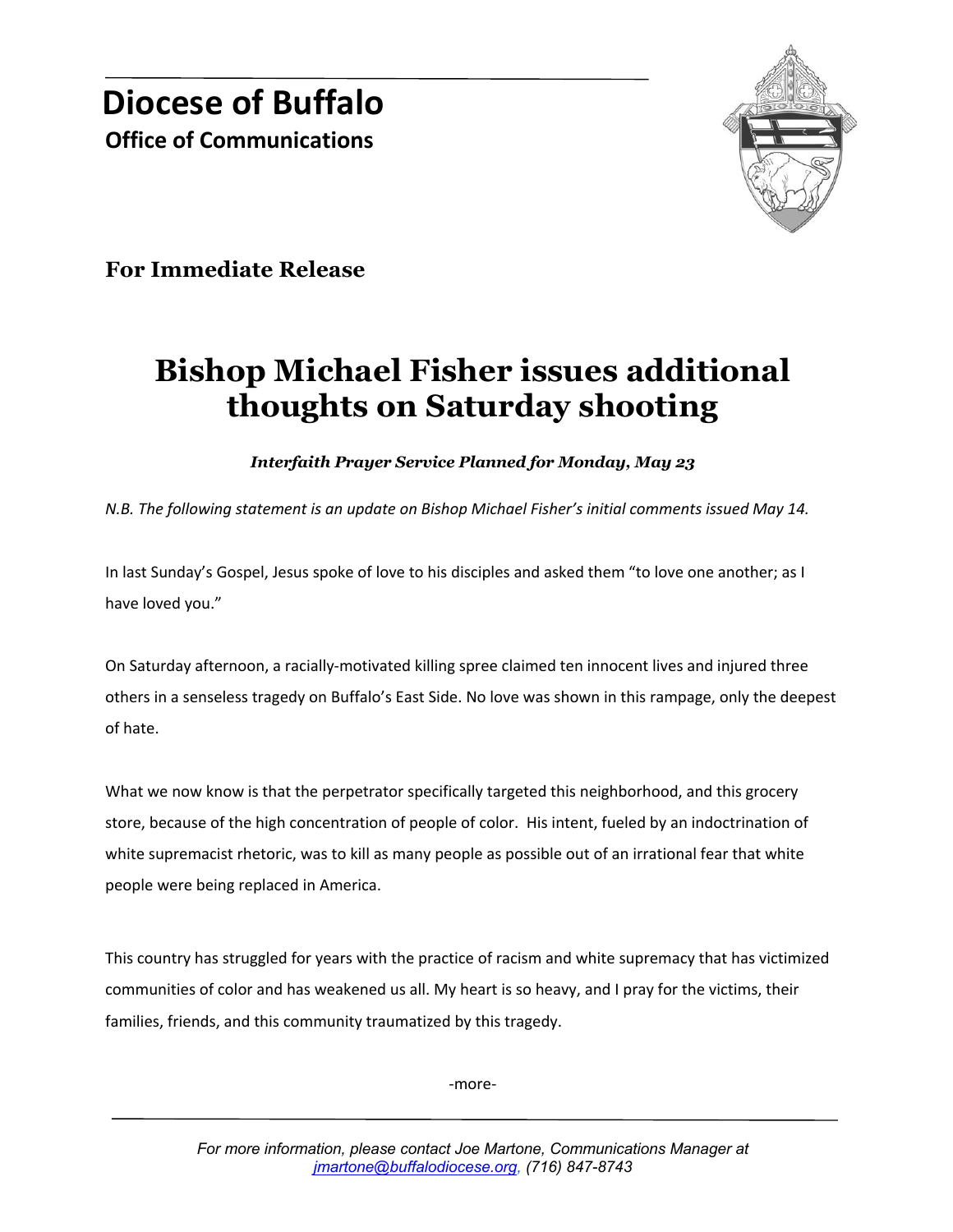

**For Immediate Release**

## **Bishop Michael Fisher issues additional thoughts on Saturday shooting**

*Interfaith Prayer Service Planned for Monday, May 23*

*N.B. The following statement is an update on Bishop Michael Fisher's initial comments issued May 14.* 

In last Sunday's Gospel, Jesus spoke of love to his disciples and asked them "to love one another; as I have loved you."

On Saturday afternoon, a racially-motivated killing spree claimed ten innocent lives and injured three others in a senseless tragedy on Buffalo's East Side. No love was shown in this rampage, only the deepest of hate.

What we now know is that the perpetrator specifically targeted this neighborhood, and this grocery store, because of the high concentration of people of color. His intent, fueled by an indoctrination of white supremacist rhetoric, was to kill as many people as possible out of an irrational fear that white people were being replaced in America.

This country has struggled for years with the practice of racism and white supremacy that has victimized communities of color and has weakened us all. My heart is so heavy, and I pray for the victims, their families, friends, and this community traumatized by this tragedy.

-more-